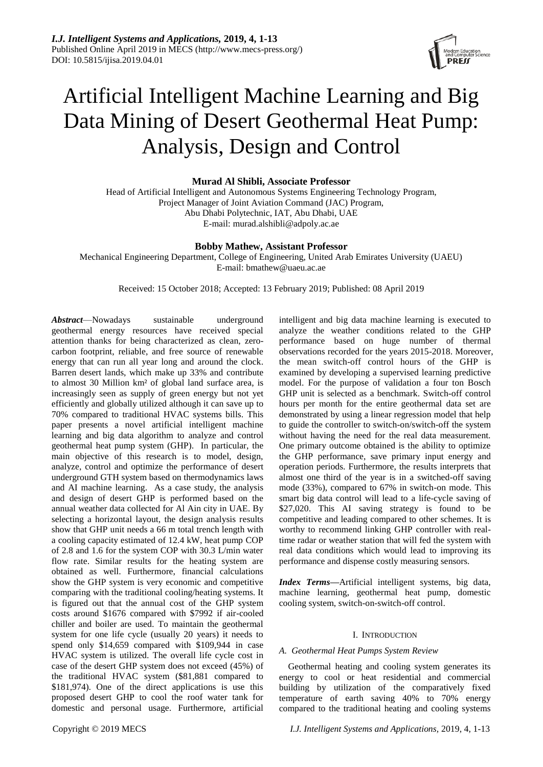

# Artificial Intelligent Machine Learning and Big Data Mining of Desert Geothermal Heat Pump: Analysis, Design and Control

# **Murad Al Shibli, Associate Professor**

Head of Artificial Intelligent and Autonomous Systems Engineering Technology Program, Project Manager of Joint Aviation Command (JAC) Program, Abu Dhabi Polytechnic, IAT, Abu Dhabi, UAE E-mail: murad.alshibli@adpoly.ac.ae

# **Bobby Mathew, Assistant Professor**

Mechanical Engineering Department, College of Engineering, United Arab Emirates University (UAEU) E-mail: bmathew@uaeu.ac.ae

Received: 15 October 2018; Accepted: 13 February 2019; Published: 08 April 2019

*Abstract*—Nowadays sustainable underground geothermal energy resources have received special attention thanks for being characterized as clean, zerocarbon footprint, reliable, and free source of renewable energy that can run all year long and around the clock. Barren desert lands, which make up 33% and contribute to almost 30 Million km² of global land surface area, is increasingly seen as supply of green energy but not yet efficiently and globally utilized although it can save up to 70% compared to traditional HVAC systems bills. This paper presents a novel artificial intelligent machine learning and big data algorithm to analyze and control geothermal heat pump system (GHP). In particular, the main objective of this research is to model, design, analyze, control and optimize the performance of desert underground GTH system based on thermodynamics laws and AI machine learning. As a case study, the analysis and design of desert GHP is performed based on the annual weather data collected for Al Ain city in UAE. By selecting a horizontal layout, the design analysis results show that GHP unit needs a 66 m total trench length with a cooling capacity estimated of 12.4 kW, heat pump COP of 2.8 and 1.6 for the system COP with 30.3 L/min water flow rate. Similar results for the heating system are obtained as well. Furthermore, financial calculations show the GHP system is very economic and competitive comparing with the traditional cooling/heating systems. It is figured out that the annual cost of the GHP system costs around \$1676 compared with \$7992 if air-cooled chiller and boiler are used. To maintain the geothermal system for one life cycle (usually 20 years) it needs to spend only \$14,659 compared with \$109,944 in case HVAC system is utilized. The overall life cycle cost in case of the desert GHP system does not exceed (45%) of the traditional HVAC system (\$81,881 compared to \$181,974). One of the direct applications is use this proposed desert GHP to cool the roof water tank for domestic and personal usage. Furthermore, artificial

analyze the weather conditions related to the GHP performance based on huge number of thermal observations recorded for the years 2015-2018. Moreover, the mean switch-off control hours of the GHP is examined by developing a supervised learning predictive model. For the purpose of validation a four ton Bosch GHP unit is selected as a benchmark. Switch-off control hours per month for the entire geothermal data set are demonstrated by using a linear regression model that help to guide the controller to switch-on/switch-off the system without having the need for the real data measurement. One primary outcome obtained is the ability to optimize the GHP performance, save primary input energy and operation periods. Furthermore, the results interprets that almost one third of the year is in a switched-off saving mode (33%), compared to 67% in switch-on mode. This smart big data control will lead to a life-cycle saving of \$27,020. This AI saving strategy is found to be competitive and leading compared to other schemes. It is worthy to recommend linking GHP controller with realtime radar or weather station that will fed the system with real data conditions which would lead to improving its performance and dispense costly measuring sensors.

intelligent and big data machine learning is executed to

*Index Terms—*Artificial intelligent systems, big data, machine learning, geothermal heat pump, domestic cooling system, switch-on-switch-off control.

# I. INTRODUCTION

#### *A. Geothermal Heat Pumps System Review*

Geothermal heating and cooling system generates its energy to cool or heat residential and commercial building by utilization of the comparatively fixed temperature of earth saving 40% to 70% energy compared to the traditional heating and cooling systems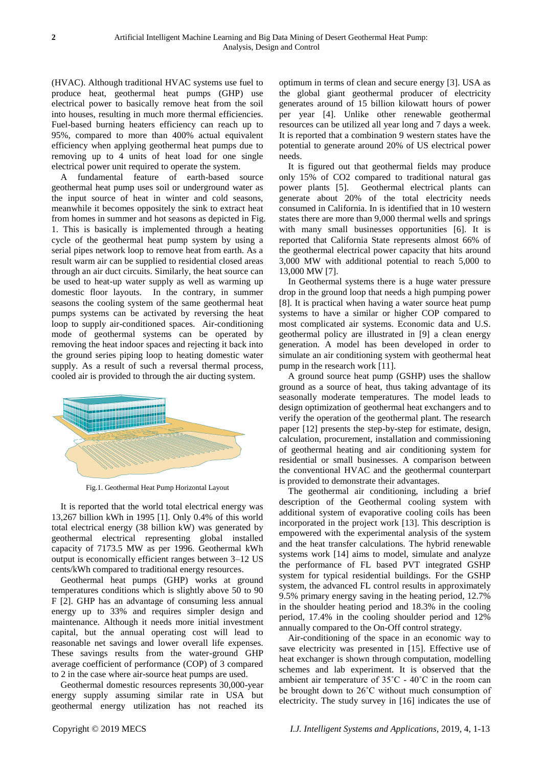(HVAC). Although traditional HVAC systems use fuel to produce heat, geothermal heat pumps (GHP) use electrical power to basically remove heat from the soil into houses, resulting in much more thermal efficiencies. Fuel-based burning heaters efficiency can reach up to 95%, compared to more than 400% actual equivalent efficiency when applying geothermal heat pumps due to removing up to 4 units of heat load for one single electrical power unit required to operate the system.

A fundamental feature of earth-based source geothermal heat pump uses soil or underground water as the input source of heat in winter and cold seasons, meanwhile it becomes oppositely the sink to extract heat from homes in summer and hot seasons as depicted in Fig. 1. This is basically is implemented through a heating cycle of the geothermal heat pump system by using a serial pipes network loop to remove heat from earth. As a result warm air can be supplied to residential closed areas through an air duct circuits. Similarly, the heat source can be used to heat-up water supply as well as warming up domestic floor layouts. In the contrary, in summer seasons the cooling system of the same geothermal heat pumps systems can be activated by reversing the heat loop to supply air-conditioned spaces. Air-conditioning mode of geothermal systems can be operated by removing the heat indoor spaces and rejecting it back into the ground series piping loop to heating domestic water supply. As a result of such a reversal thermal process, cooled air is provided to through the air ducting system.



Fig.1. Geothermal Heat Pump Horizontal Layout

It is reported that the world total electrical energy was 13,267 billion kWh in 1995 [1]. Only 0.4% of this world total electrical energy (38 billion kW) was generated by geothermal electrical representing global installed capacity of 7173.5 MW as per 1996. Geothermal kWh output is economically efficient ranges between 3–12 US cents/kWh compared to traditional energy resources.

Geothermal heat pumps (GHP) works at ground temperatures conditions which is slightly above 50 to 90 F [2]. GHP has an advantage of consuming less annual energy up to 33% and requires simpler design and maintenance. Although it needs more initial investment capital, but the annual operating cost will lead to reasonable net savings and lower overall life expenses. These savings results from the water-ground GHP average coefficient of performance (COP) of 3 compared to 2 in the case where air-source heat pumps are used.

Geothermal domestic resources represents 30,000-year energy supply assuming similar rate in USA but geothermal energy utilization has not reached its

optimum in terms of clean and secure energy [3]. USA as the global giant geothermal producer of electricity generates around of 15 billion kilowatt hours of power per year [4]. Unlike other renewable geothermal resources can be utilized all year long and 7 days a week. It is reported that a combination 9 western states have the potential to generate around 20% of US electrical power needs.

It is figured out that geothermal fields may produce only 15% of CO2 compared to traditional natural gas power plants [5]. Geothermal electrical plants can generate about 20% of the total electricity needs consumed in California. In is identified that in 10 western states there are more than 9,000 thermal wells and springs with many small businesses opportunities [6]. It is reported that California State represents almost 66% of the geothermal electrical power capacity that hits around 3,000 MW with additional potential to reach 5,000 to 13,000 MW [7].

In Geothermal systems there is a huge water pressure drop in the ground loop that needs a high pumping power [8]. It is practical when having a water source heat pump systems to have a similar or higher COP compared to most complicated air systems. Economic data and U.S. geothermal policy are illustrated in [9] a clean energy generation. A model has been developed in order to simulate an air conditioning system with geothermal heat pump in the research work [11].

A ground source heat pump (GSHP) uses the shallow ground as a source of heat, thus taking advantage of its seasonally moderate temperatures. The model leads to design optimization of geothermal heat exchangers and to verify the operation of the geothermal plant. The research paper [12] presents the step-by-step for estimate, design, calculation, procurement, installation and commissioning of geothermal heating and air conditioning system for residential or small businesses. A comparison between the conventional HVAC and the geothermal counterpart is provided to demonstrate their advantages.

The geothermal air conditioning, including a brief description of the Geothermal cooling system with additional system of evaporative cooling coils has been incorporated in the project work [13]. This description is empowered with the experimental analysis of the system and the heat transfer calculations. The hybrid renewable systems work [14] aims to model, simulate and analyze the performance of FL based PVT integrated GSHP system for typical residential buildings. For the GSHP system, the advanced FL control results in approximately 9.5% primary energy saving in the heating period, 12.7% in the shoulder heating period and 18.3% in the cooling period, 17.4% in the cooling shoulder period and 12% annually compared to the On-Off control strategy.

Air-conditioning of the space in an economic way to save electricity was presented in [15]. Effective use of heat exchanger is shown through computation, modelling schemes and lab experiment. It is observed that the ambient air temperature of  $35^{\circ}$ C -  $40^{\circ}$ C in the room can be brought down to 26˚C without much consumption of electricity. The study survey in [16] indicates the use of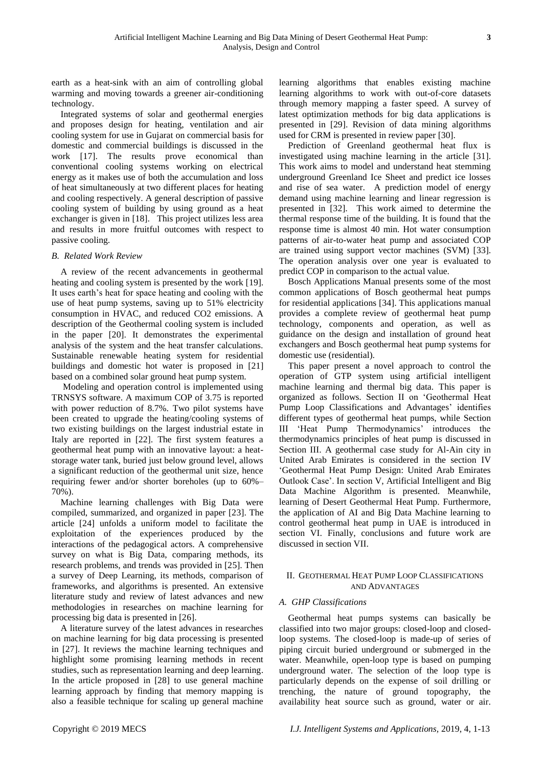earth as a heat-sink with an aim of controlling global warming and moving towards a greener air-conditioning technology.

Integrated systems of solar and geothermal energies and proposes design for heating, ventilation and air cooling system for use in Gujarat on commercial basis for domestic and commercial buildings is discussed in the work [17]. The results prove economical than conventional cooling systems working on electrical energy as it makes use of both the accumulation and loss of heat simultaneously at two different places for heating and cooling respectively. A general description of passive cooling system of building by using ground as a heat exchanger is given in [18]. This project utilizes less area and results in more fruitful outcomes with respect to passive cooling.

## *B. Related Work Review*

A review of the recent advancements in geothermal heating and cooling system is presented by the work [19]. It uses earth's heat for space heating and cooling with the use of heat pump systems, saving up to 51% electricity consumption in HVAC, and reduced CO2 emissions. A description of the Geothermal cooling system is included in the paper [20]. It demonstrates the experimental analysis of the system and the heat transfer calculations. Sustainable renewable heating system for residential buildings and domestic hot water is proposed in [21] based on a combined solar ground heat pump system.

Modeling and operation control is implemented using TRNSYS software. A maximum COP of 3.75 is reported with power reduction of 8.7%. Two pilot systems have been created to upgrade the heating/cooling systems of two existing buildings on the largest industrial estate in Italy are reported in [22]. The first system features a geothermal heat pump with an innovative layout: a heatstorage water tank, buried just below ground level, allows a significant reduction of the geothermal unit size, hence requiring fewer and/or shorter boreholes (up to 60%– 70%).

Machine learning challenges with Big Data were compiled, summarized, and organized in paper [23]. The article [24] unfolds a uniform model to facilitate the exploitation of the experiences produced by the interactions of the pedagogical actors. A comprehensive survey on what is Big Data, comparing methods, its research problems, and trends was provided in [25]. Then a survey of Deep Learning, its methods, comparison of frameworks, and algorithms is presented. An extensive literature study and review of latest advances and new methodologies in researches on machine learning for processing big data is presented in [26].

A literature survey of the latest advances in researches on machine learning for big data processing is presented in [27]. It reviews the machine learning techniques and highlight some promising learning methods in recent studies, such as representation learning and deep learning. In the article proposed in [28] to use general machine learning approach by finding that memory mapping is also a feasible technique for scaling up general machine

learning algorithms that enables existing machine learning algorithms to work with out-of-core datasets through memory mapping a faster speed. A survey of latest optimization methods for big data applications is presented in [29]. Revision of data mining algorithms used for CRM is presented in review paper [30].

Prediction of Greenland geothermal heat flux is investigated using machine learning in the article [31]. This work aims to model and understand heat stemming underground Greenland Ice Sheet and predict ice losses and rise of sea water. A prediction model of energy demand using machine learning and linear regression is presented in [32]. This work aimed to determine the thermal response time of the building. It is found that the response time is almost 40 min. Hot water consumption patterns of air-to-water heat pump and associated COP are trained using support vector machines (SVM) [33]. The operation analysis over one year is evaluated to predict COP in comparison to the actual value.

Bosch Applications Manual presents some of the most common applications of Bosch geothermal heat pumps for residential applications [34]. This applications manual provides a complete review of geothermal heat pump technology, components and operation, as well as guidance on the design and installation of ground heat exchangers and Bosch geothermal heat pump systems for domestic use (residential).

This paper present a novel approach to control the operation of GTP system using artificial intelligent machine learning and thermal big data. This paper is organized as follows. Section II on 'Geothermal Heat Pump Loop Classifications and Advantages' identifies different types of geothermal heat pumps, while Section III ‗Heat Pump Thermodynamics' introduces the thermodynamics principles of heat pump is discussed in Section III. A geothermal case study for Al-Ain city in United Arab Emirates is considered in the section IV ‗Geothermal Heat Pump Design: United Arab Emirates Outlook Case'. In section V, Artificial Intelligent and Big Data Machine Algorithm is presented. Meanwhile, learning of Desert Geothermal Heat Pump. Furthermore, the application of AI and Big Data Machine learning to control geothermal heat pump in UAE is introduced in section VI. Finally, conclusions and future work are discussed in section VII.

## II. GEOTHERMAL HEAT PUMP LOOP CLASSIFICATIONS AND ADVANTAGES

## *A. GHP Classifications*

Geothermal heat pumps systems can basically be classified into two major groups: closed-loop and closedloop systems. The closed-loop is made-up of series of piping circuit buried underground or submerged in the water. Meanwhile, open-loop type is based on pumping underground water. The selection of the loop type is particularly depends on the expense of soil drilling or trenching, the nature of ground topography, the availability heat source such as ground, water or air.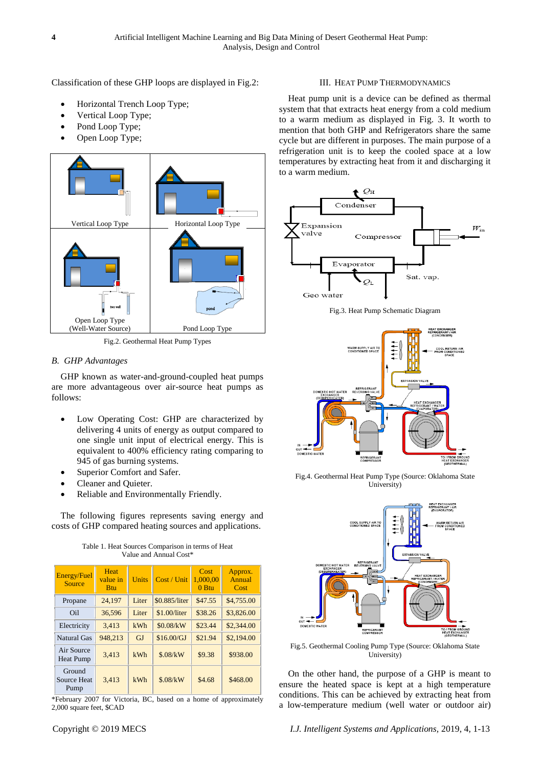Classification of these GHP loops are displayed in Fig.2:

- Horizontal Trench Loop Type;
- Vertical Loop Type;
- Pond Loop Type;
- Open Loop Type;



Fig.2. Geothermal Heat Pump Types

## *B. GHP Advantages*

GHP known as water-and-ground-coupled heat pumps are more advantageous over air-source heat pumps as follows:

- Low Operating Cost: GHP are characterized by delivering 4 units of energy as output compared to one single unit input of electrical energy. This is equivalent to 400% efficiency rating comparing to 945 of gas burning systems.
- Superior Comfort and Safer.
- Cleaner and Quieter.
- Reliable and Environmentally Friendly.

The following figures represents saving energy and costs of GHP compared heating sources and applications.

| <b>Energy/Fuel</b><br>Source   | <b>Heat</b><br>value in<br><b>Btu</b> | Units | Cost / Unit   | Cost<br>1,000,00<br>$0$ Btu | Approx.<br>Annual<br>Cost |
|--------------------------------|---------------------------------------|-------|---------------|-----------------------------|---------------------------|
| Propane                        | 24,197                                | Liter | \$0.885/liter | \$47.55                     | \$4,755.00                |
| Oil                            | 36.596                                | Liter | \$1.00/liter  | \$38.26                     | \$3,826.00                |
| Electricity                    | 3,413                                 | kWh   | \$0.08/kW     | \$23.44                     | \$2,344.00                |
| Natural Gas                    | 948.213                               | GJ    | \$16.00/GJ    | \$21.94                     | \$2,194.00                |
| Air Source<br><b>Heat Pump</b> | 3.413                                 | kWh   | \$.08/kW      | \$9.38                      | \$938.00                  |
| Ground<br>Source Heat<br>Pump  | 3.413                                 | kWh   | \$.08/kW      | \$4.68                      | \$468.00                  |

Table 1. Heat Sources Comparison in terms of Heat Value and Annual Cost\*

\*February 2007 for Victoria, BC, based on a home of approximately 2,000 square feet, \$CAD

## III. HEAT PUMP THERMODYNAMICS

Heat pump unit is a device can be defined as thermal system that that extracts heat energy from a cold medium to a warm medium as displayed in Fig. 3. It worth to mention that both GHP and Refrigerators share the same cycle but are different in purposes. The main purpose of a refrigeration unit is to keep the cooled space at a low temperatures by extracting heat from it and discharging it to a warm medium.



Fig.3. Heat Pump Schematic Diagram



Fig.4. Geothermal Heat Pump Type (Source: Oklahoma State University)



Fig.5. Geothermal Cooling Pump Type (Source: Oklahoma State University)

On the other hand, the purpose of a GHP is meant to ensure the heated space is kept at a high temperature conditions. This can be achieved by extracting heat from a low-temperature medium (well water or outdoor air)

Copyright © 2019 MECS *I.J. Intelligent Systems and Applications,* 2019, 4, 1-13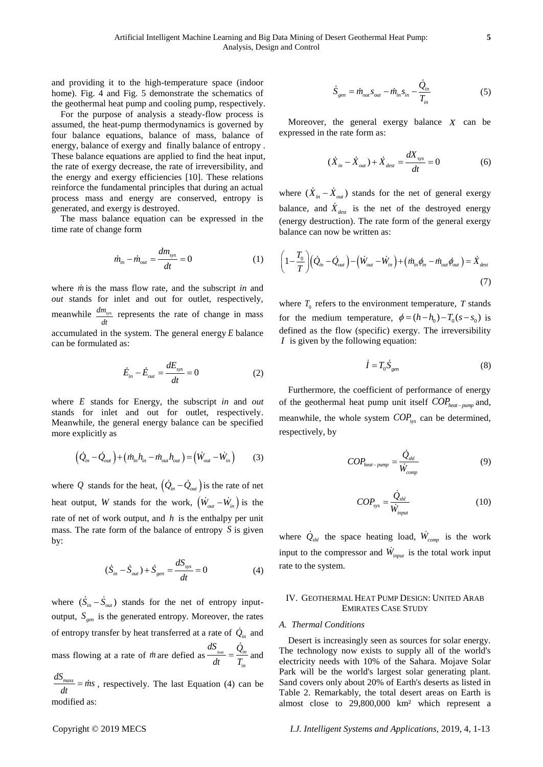and providing it to the high-temperature space (indoor home). Fig. 4 and Fig. 5 demonstrate the schematics of the geothermal heat pump and cooling pump, respectively.

For the purpose of analysis a steady-flow process is assumed, the heat-pump thermodynamics is governed by four balance equations, balance of mass, balance of energy, balance of exergy and finally balance of entropy . These balance equations are applied to find the heat input, the rate of exergy decrease, the rate of irreversibility, and the energy and exergy efficiencies [10]. These relations reinforce the fundamental principles that during an actual process mass and energy are conserved, entropy is generated, and exergy is destroyed.

The mass balance equation can be expressed in the time rate of change form

$$
\dot{m}_{in} - \dot{m}_{out} = \frac{dm_{sys}}{dt} = 0 \tag{1}
$$

where *m* is the mass flow rate, and the subscript *in* and *out* stands for inlet and out for outlet, respectively, meanwhile  $\frac{dm_{sys}}{m}$ *dt* represents the rate of change in mass accumulated in the system. The general energy *E* balance can be formulated as:

$$
\dot{E}_{in} - \dot{E}_{out} = \frac{dE_{sys}}{dt} = 0
$$
\n(2)

where *E* stands for Energy, the subscript *in* and *out* stands for inlet and out for outlet, respectively. Meanwhile, the general energy balance can be specified more explicitly as

$$
(\dot{Q}_{in} - \dot{Q}_{out}) + (\dot{m}_{in}h_{in} - \dot{m}_{out}h_{out}) = (\dot{W}_{out} - \dot{W}_{in})
$$
 (3)

where Q stands for the heat,  $(Q_{in} - Q_{out})$  is the rate of net heat output, *W* stands for the work,  $(W_{out} - W_{in})$  is the rate of net of work output, and  $h$  is the enthalpy per unit mass. The rate form of the balance of entropy  $S$  is given by:

$$
(\dot{S}_{in} - \dot{S}_{out}) + \dot{S}_{gen} = \frac{dS_{sys}}{dt} = 0
$$
 (4)

where  $(S_{in} - S_{out})$  stands for the net of entropy inputoutput,  $S_{gen}$  is the generated entropy. Moreover, the rates of entropy transfer by heat transferred at a rate of *Qin* and mass flowing at a rate of *m* are defied as  $\frac{E_{heat}}{I} = \frac{\mathcal{Q}_{in}}{T}$ *in*  $dS$  *Q dt T*  $=\frac{\sum_{in}}{n}$  and  $\frac{dS_{\text{mass}}}{dt} = \dot{m}s$ 

 $\frac{d_{mass}}{dt} = \dot{m}s$ , respectively. The last Equation (4) can be modified as:

$$
\dot{S}_{gen} = \dot{m}_{out} S_{out} - \dot{m}_{in} S_{in} - \frac{Q_{in}}{T_{in}}
$$
\n<sup>(5)</sup>

Moreover, the general exergy balance  $X$  can be expressed in the rate form as:

$$
(\dot{X}_{in} - \dot{X}_{out}) + \dot{X}_{dest} = \frac{dX_{sys}}{dt} = 0
$$
 (6)

where  $(X_{in} - X_{out})$  stands for the net of general exergy balance, and  $X_{\text{dest}}$  is the net of the destroyed energy (energy destruction). The rate form of the general exergy balance can now be written as:

$$
\left(1 - \frac{T_0}{T}\right) (\dot{Q}_{in} - \dot{Q}_{out}) - (\dot{W}_{out} - \dot{W}_{in}) + (\dot{m}_{in}\phi_{in} - \dot{m}_{out}\phi_{out}) = \dot{X}_{dest}
$$
\n(7)

where  $T_0$  refers to the environment temperature,  $T$  stands for the medium temperature,  $\phi = (h - h_0) - T_0(s - s_0)$  is defined as the flow (specific) exergy. The irreversibility *I* is given by the following equation:

$$
\dot{I} = T_0 \dot{S}_{gen} \tag{8}
$$

Furthermore, the coefficient of performance of energy of the geothermal heat pump unit itself *COPheat pump* and, meanwhile, the whole system *COPsys* can be determined, respectively, by

$$
COP_{heat-pump} = \frac{\dot{Q}_{shl}}{\dot{W}_{comp}} \tag{9}
$$

$$
COP_{\rm sys} = \frac{\dot{Q}_{\rm shl}}{\dot{W}_{\rm input}}\tag{10}
$$

where  $Q_{shl}$  the space heating load,  $W_{comp}$  is the work input to the compressor and  $W_{input}$  is the total work input rate to the system.

### IV. GEOTHERMAL HEAT PUMP DESIGN: UNITED ARAB EMIRATES CASE STUDY

#### *A. Thermal Conditions*

Desert is increasingly seen as sources for solar energy. The technology now exists to supply all of the world's electricity needs with 10% of the Sahara. Mojave Solar Park will be the world's largest solar generating plant. Sand covers only about 20% of Earth's deserts as listed in Table 2. Remarkably, the total desert areas on Earth is almost close to 29,800,000 km² which represent a

I.J. Intelligent Systems and Applications, 2019, 4, 1-13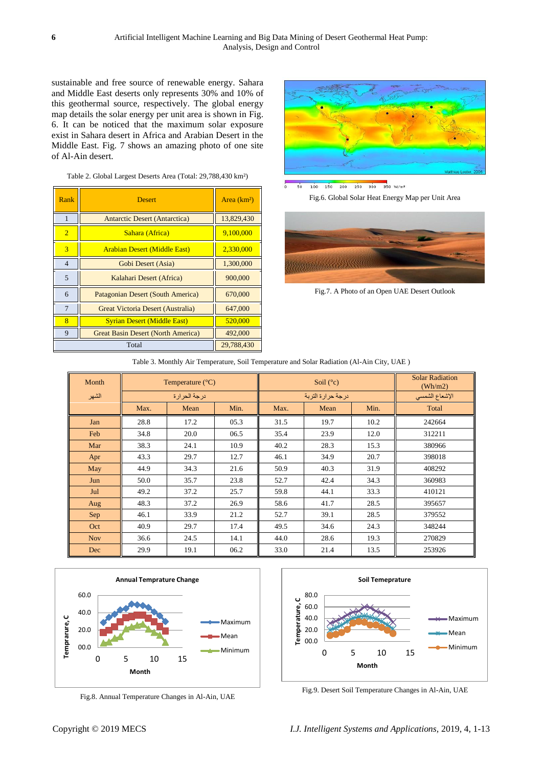sustainable and free source of renewable energy. Sahara and Middle East deserts only represents 30% and 10% of this geothermal source, respectively. The global energy map details the solar energy per unit area is shown in Fig. 6. It can be noticed that the maximum solar exposure exist in Sahara desert in Africa and Arabian Desert in the Middle East. Fig. 7 shows an amazing photo of one site of Al-Ain desert.

#### Table 2. Global Largest Deserts Area (Total: 29,788,430 km²)

| Rank           | <b>Desert</b>                             | Area (km 3) |
|----------------|-------------------------------------------|-------------|
| 1              | <b>Antarctic Desert (Antarctica)</b>      | 13,829,430  |
| $\overline{2}$ | Sahara (Africa)                           | 9,100,000   |
| 3              | <b>Arabian Desert (Middle East)</b>       | 2,330,000   |
| $\overline{4}$ | Gobi Desert (Asia)                        | 1,300,000   |
| 5              | Kalahari Desert (Africa)                  | 900,000     |
| 6              | Patagonian Desert (South America)         | 670,000     |
| $\overline{7}$ | Great Victoria Desert (Australia)         | 647,000     |
| 8              | <b>Syrian Desert (Middle East)</b>        | 520,000     |
| 9              | <b>Great Basin Desert (North America)</b> | 492,000     |
|                | 29,788,430                                |             |



 $\frac{1}{250}$  300 350 W/m<sup>2</sup>  $150 200$  $100$ 

Fig.6. Global Solar Heat Energy Map per Unit Area



Fig.7. A Photo of an Open UAE Desert Outlook

#### Table 3. Monthly Air Temperature, Soil Temperature and Solar Radiation (Al-Ain City, UAE )

| Month      | Temperature $(\mathcal{C})$ |      | Soil $(\mathcal{C})$ |                   | <b>Solar Radiation</b><br>(Wh/m2) |      |                |
|------------|-----------------------------|------|----------------------|-------------------|-----------------------------------|------|----------------|
| الشهر      | درجة الحرارة                |      |                      | درجة حرارة التربة |                                   |      | الإشعاع الشمسي |
|            | Max.                        | Mean | Min.                 | Max.              | Mean                              | Min. | Total          |
| Jan        | 28.8                        | 17.2 | 05.3                 | 31.5              | 19.7                              | 10.2 | 242664         |
| Feb        | 34.8                        | 20.0 | 06.5                 | 35.4              | 23.9                              | 12.0 | 312211         |
| Mar        | 38.3                        | 24.1 | 10.9                 | 40.2              | 28.3                              | 15.3 | 380966         |
| Apr        | 43.3                        | 29.7 | 12.7                 | 46.1              | 34.9                              | 20.7 | 398018         |
| May        | 44.9                        | 34.3 | 21.6                 | 50.9              | 40.3                              | 31.9 | 408292         |
| Jun        | 50.0                        | 35.7 | 23.8                 | 52.7              | 42.4                              | 34.3 | 360983         |
| Jul        | 49.2                        | 37.2 | 25.7                 | 59.8              | 44.1                              | 33.3 | 410121         |
| Aug        | 48.3                        | 37.2 | 26.9                 | 58.6              | 41.7                              | 28.5 | 395657         |
| Sep        | 46.1                        | 33.9 | 21.2                 | 52.7              | 39.1                              | 28.5 | 379552         |
| Oct        | 40.9                        | 29.7 | 17.4                 | 49.5              | 34.6                              | 24.3 | 348244         |
| <b>Nov</b> | 36.6                        | 24.5 | 14.1                 | 44.0              | 28.6                              | 19.3 | 270829         |
| Dec        | 29.9                        | 19.1 | 06.2                 | 33.0              | 21.4                              | 13.5 | 253926         |



Fig.8. Annual Temperature Changes in Al-Ain, UAE



Fig.9. Desert Soil Temperature Changes in Al-Ain, UAE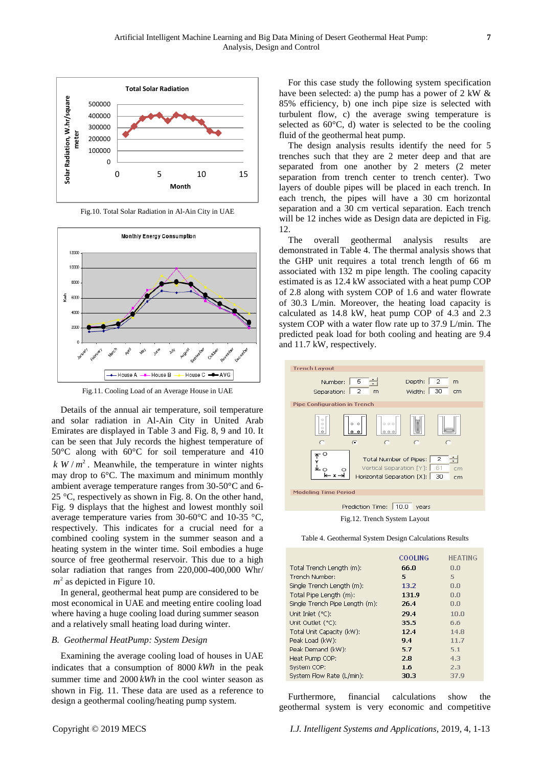

Fig.10. Total Solar Radiation in Al-Ain City in UAE



Fig.11. Cooling Load of an Average House in UAE

Details of the annual air temperature, soil temperature and solar radiation in Al-Ain City in United Arab Emirates are displayed in Table 3 and Fig. 8, 9 and 10. It can be seen that July records the highest temperature of 50°C along with 60°C for soil temperature and 410  $k \, W/m^2$ . Meanwhile, the temperature in winter nights may drop to  $6^\circ$ . The maximum and minimum monthly ambient average temperature ranges from 30-50  $\mathbb{C}$  and 6-25 °C, respectively as shown in Fig. 8. On the other hand, Fig. 9 displays that the highest and lowest monthly soil average temperature varies from 30-60  $\mathbb C$  and 10-35  $\mathbb C$ , respectively. This indicates for a crucial need for a combined cooling system in the summer season and a heating system in the winter time. Soil embodies a huge source of free geothermal reservoir. This due to a high solar radiation that ranges from 220,000-400,000 Whr/  $m^2$  as depicted in Figure 10.

In general, geothermal heat pump are considered to be most economical in UAE and meeting entire cooling load where having a huge cooling load during summer season and a relatively small heating load during winter.

# *B. Geothermal HeatPump: System Design*

Examining the average cooling load of houses in UAE indicates that a consumption of 8000 *kWh* in the peak summer time and 2000 *kWh* in the cool winter season as shown in Fig. 11. These data are used as a reference to design a geothermal cooling/heating pump system.

For this case study the following system specification have been selected: a) the pump has a power of 2 kW & 85% efficiency, b) one inch pipe size is selected with turbulent flow, c) the average swing temperature is selected as  $60 \, \text{C}$ , d) water is selected to be the cooling fluid of the geothermal heat pump.

The design analysis results identify the need for 5 trenches such that they are 2 meter deep and that are separated from one another by 2 meters (2 meter separation from trench center to trench center). Two layers of double pipes will be placed in each trench. In each trench, the pipes will have a 30 cm horizontal separation and a 30 cm vertical separation. Each trench will be 12 inches wide as Design data are depicted in Fig. 12.

The overall geothermal analysis results are demonstrated in Table 4. The thermal analysis shows that the GHP unit requires a total trench length of 66 m associated with 132 m pipe length. The cooling capacity estimated is as 12.4 kW associated with a heat pump COP of 2.8 along with system COP of 1.6 and water flowrate of 30.3 L/min. Moreover, the heating load capacity is calculated as 14.8 kW, heat pump COP of 4.3 and 2.3 system COP with a water flow rate up to 37.9 L/min. The predicted peak load for both cooling and heating are 9.4 and 11.7 kW, respectively.



Fig.12. Trench System Layout

|                                | <b>COOLING</b> | <b>HEATING</b> |
|--------------------------------|----------------|----------------|
| Total Trench Length (m):       | 66.N           | 0.0            |
| Trench Numher:                 | 5              | 5              |
| Single Trench Length (m):      | 13.2           | 0.0            |
| Total Pipe Length (m):         | 131.9          | 0.0            |
| Single Trench Pipe Length (m): | 26.4           | 0.0            |
| Unit Inlet $(°C)$ :            | 29.4           | 10.0           |
| Unit Outlet (°C):              | 35.5           | 6.6            |
| Total Unit Capacity (kW):      | 12.4           | 14.8           |
| Peak Load (kW):                | 9.4            | 11.7           |
| Peak Demand (kW):              | 5.7            | 5.1            |
| Heat Pump COP:                 | 2.8            | 4.3            |
| System COP:                    | 1.6            | 2.3            |
| System Flow Rate (L/min):      | 30.3           | 37.9           |

Furthermore, financial calculations show the geothermal system is very economic and competitive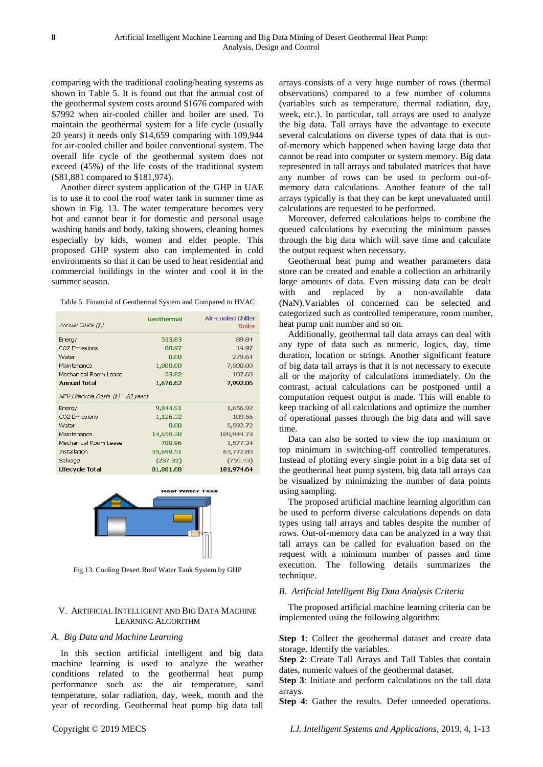comparing with the traditional cooling/heating systems as shown in Table 5. It is found out that the annual cost of the geothermal system costs around \$1676 compared with \$7992 when air-cooled chiller and boiler are used. To maintain the geothermal system for a life cycle (usually 20 years) it needs only \$14,659 comparing with 109,944 for air-cooled chiller and boiler conventional system. The overall life cycle of the geothermal system does not exceed (45%) of the life costs of the traditional system (\$81,881 compared to \$181,974).

Another direct system application of the GHP in UAE is to use it to cool the roof water tank in summer time as shown in Fig. 13. The water temperature becomes very hot and cannot bear it for domestic and personal usage washing hands and body, taking showers, cleaning homes especially by kids, women and elder people. This proposed GHP system also can implemented in cold environments so that it can be used to heat residential and commercial buildings in the winter and cool it in the summer season.

| Annual Costs (\$)                   | Geothermal | Air-cooled Chiller<br><b>Boiler</b> |
|-------------------------------------|------------|-------------------------------------|
| Energy                              | 533.83     | 89.84                               |
| CO2 Emissions                       | 88.97      | 14.97                               |
| Water                               | 0.00       | 279.64                              |
| Maintenance                         | 1,000.00   | 7,500.00                            |
| Mechanical Room Lease               | 53.82      | 107.60                              |
| <b>Annual Total</b>                 | 1,676.62   | 7,992.06                            |
| NPV Lifecycle Costs (\$) - 20 years |            |                                     |
| Energy                              | 9,844.91   | 1,656.92                            |
| CO2 Emissions                       | 1,126.32   | 189.56                              |
| Water                               | 0.00       | 5,592.72                            |
| Maintenance                         | 14,659.30  | 109,944.73                          |
| Mechanical Room Lease               | 788.96     | 1,577.34                            |
| Installation                        | 55,699.51  | 63,772.80                           |
| Salvage                             | (237.32)   | (759.43)                            |
| Lifecycle Total                     | 81,881.68  | 181,974.64                          |



Fig.13. Cooling Desert Roof Water Tank System by GHP

## V. ARTIFICIAL INTELLIGENT AND BIG DATA MACHINE LEARNING ALGORITHM

## *A. Big Data and Machine Learning*

In this section artificial intelligent and big data machine learning is used to analyze the weather conditions related to the geothermal heat pump performance such as: the air temperature, sand temperature, solar radiation, day, week, month and the year of recording. Geothermal heat pump big data tall arrays consists of a very huge number of rows (thermal observations) compared to a few number of columns (variables such as temperature, thermal radiation, day, week, etc.). In particular, tall arrays are used to analyze the big data. Tall arrays have the advantage to execute several calculations on diverse types of data that is outof-memory which happened when having large data that cannot be read into computer or system memory. Big data represented in tall arrays and tabulated matrices that have any number of rows can be used to perform out-ofmemory data calculations. Another feature of the tall arrays typically is that they can be kept unevaluated until calculations are requested to be performed.

Moreover, deferred calculations helps to combine the queued calculations by executing the minimum passes through the big data which will save time and calculate the output request when necessary.

Geothermal heat pump and weather parameters data store can be created and enable a collection an arbitrarily large amounts of data. Even missing data can be dealt with and replaced by a non-available data (NaN).Variables of concerned can be selected and categorized such as controlled temperature, room number, heat pump unit number and so on.

Additionally, geothermal tall data arrays can deal with any type of data such as numeric, logics, day, time duration, location or strings. Another significant feature of big data tall arrays is that it is not necessary to execute all or the majority of calculations immediately. On the contrast, actual calculations can be postponed until a computation request output is made. This will enable to keep tracking of all calculations and optimize the number of operational passes through the big data and will save time.

Data can also be sorted to view the top maximum or top minimum in switching-off controlled temperatures. Instead of plotting every single point in a big data set of the geothermal heat pump system, big data tall arrays can be visualized by minimizing the number of data points using sampling.

The proposed artificial machine learning algorithm can be used to perform diverse calculations depends on data types using tall arrays and tables despite the number of rows. Out-of-memory data can be analyzed in a way that tall arrays can be called for evaluation based on the request with a minimum number of passes and time execution. The following details summarizes the technique.

#### *B. Artificial Intelligent Big Data Analysis Criteria*

The proposed artificial machine learning criteria can be implemented using the following algorithm:

**Step 1**: Collect the geothermal dataset and create data storage. Identify the variables.

**Step 2**: Create Tall Arrays and Tall Tables that contain dates, numeric values of the geothermal dataset.

**Step 3**: Initiate and perform calculations on the tall data arrays.

**Step 4**: Gather the results. Defer unneeded operations.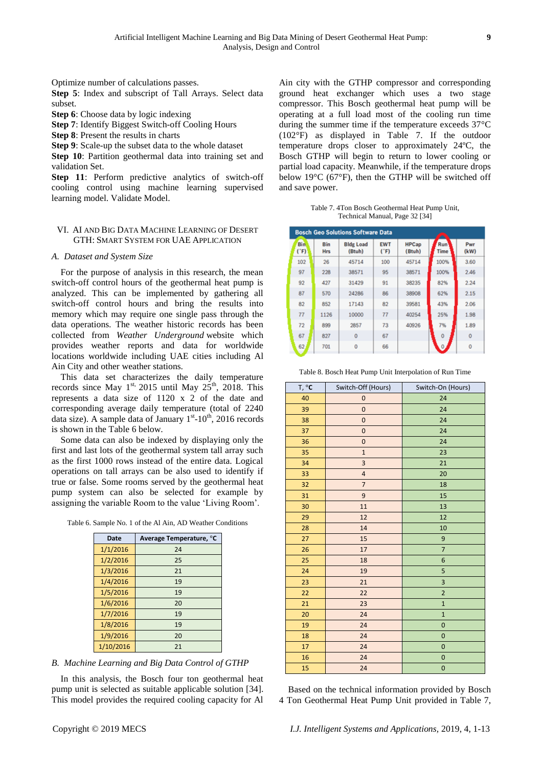Optimize number of calculations passes.

**Step 5**: Index and subscript of Tall Arrays. Select data subset.

**Step 6**: Choose data by logic indexing

**Step 7**: Identify Biggest Switch-off Cooling Hours

**Step 8**: Present the results in charts

**Step 9**: Scale-up the subset data to the whole dataset

**Step 10**: Partition geothermal data into training set and validation Set.

**Step 11**: Perform predictive analytics of switch-off cooling control using machine learning supervised learning model. Validate Model.

## VI. AI AND BIG DATA MACHINE LEARNING OF DESERT GTH: SMART SYSTEM FOR UAE APPLICATION

## *A. Dataset and System Size*

For the purpose of analysis in this research, the mean switch-off control hours of the geothermal heat pump is analyzed. This can be implemented by gathering all switch-off control hours and bring the results into memory which may require one single pass through the data operations. The weather historic records has been collected from *Weather Underground* website which provides weather reports and data for worldwide locations worldwide including UAE cities including Al Ain City and other weather stations.

This data set characterizes the daily temperature records since May  $1^{st}$ , 2015 until May  $25^{th}$ , 2018. This represents a data size of 1120 x 2 of the date and corresponding average daily temperature (total of 2240 data size). A sample data of January  $1<sup>st</sup>$ -10<sup>th</sup>, 2016 records is shown in the Table 6 below.

Some data can also be indexed by displaying only the first and last lots of the geothermal system tall array such as the first 1000 rows instead of the entire data. Logical operations on tall arrays can be also used to identify if true or false. Some rooms served by the geothermal heat pump system can also be selected for example by assigning the variable Room to the value 'Living Room'.

| Date      | Average Temperature, C |
|-----------|------------------------|
| 1/1/2016  | 24                     |
| 1/2/2016  | 25                     |
| 1/3/2016  | 21                     |
| 1/4/2016  | 19                     |
| 1/5/2016  | 19                     |
| 1/6/2016  | 20                     |
| 1/7/2016  | 19                     |
| 1/8/2016  | 19                     |
| 1/9/2016  | 20                     |
| 1/10/2016 | 21                     |

# *B. Machine Learning and Big Data Control of GTHP*

In this analysis, the Bosch four ton geothermal heat pump unit is selected as suitable applicable solution [34]. This model provides the required cooling capacity for Al Ain city with the GTHP compressor and corresponding ground heat exchanger which uses a two stage compressor. This Bosch geothermal heat pump will be operating at a full load most of the cooling run time during the summer time if the temperature exceeds  $37^{\circ}$ C (102°F) as displayed in Table 7. If the outdoor temperature drops closer to approximately  $24 \, \text{C}$ , the Bosch GTHP will begin to return to lower cooling or partial load capacity. Meanwhile, if the temperature drops below 19°C (67°F), then the GTHP will be switched off and save power.

Table 7. 4Ton Bosch Geothermal Heat Pump Unit, Technical Manual, Page 32 [34]

| <b>Bosch Geo Solutions Software Data</b> |                   |                            |                    |                        |                          |                     |
|------------------------------------------|-------------------|----------------------------|--------------------|------------------------|--------------------------|---------------------|
| <b>Bin</b><br>(TF)                       | Bin<br><b>Hrs</b> | <b>Bldg Load</b><br>(Btuh) | <b>EWT</b><br>(TF) | <b>HPCap</b><br>(Btuh) | Run <sup>1</sup><br>Time | Pwr<br>(kW)         |
| 102                                      | 26                | 45714                      | 100                | 45714                  | 100%                     | 3.60                |
| 97                                       | 228               | 38571                      | 95                 | 38571                  | 100%                     | 2.46                |
| 92                                       | 427               | 31429                      | 91                 | 38235                  | 82%                      | 2.24                |
| 87                                       | 570               | 24286                      | 86                 | 38908                  | 62%                      | 2.15                |
| 82                                       | 852               | 17143                      | 82                 | 39581                  | 43%                      | 2.06                |
| 77                                       | 1126              | 10000                      | 77                 | 40254                  | 25%                      | 1.98                |
| 72                                       | 899               | 2857                       | 73                 | 40926                  | 7%                       | 1.89                |
| 67                                       | 827               | $\mathbf 0$                | 67                 |                        | $\Omega$                 | $\Omega$            |
| 62                                       | 701               | $\mathbf{0}$               | 66                 |                        |                          | $\ddot{\mathbf{0}}$ |

Table 8. Bosch Heat Pump Unit Interpolation of Run Time

| T, °C | Switch-Off (Hours) | Switch-On (Hours) |
|-------|--------------------|-------------------|
| 40    | $\mathbf 0$        | 24                |
| 39    | $\mathbf 0$        | 24                |
| 38    | $\mathbf 0$        | 24                |
| 37    | $\mathbf 0$        | 24                |
| 36    | $\pmb{0}$          | 24                |
| 35    | $\mathbf{1}$       | 23                |
| 34    | 3                  | 21                |
| 33    | $\overline{a}$     | 20                |
| 32    | $\overline{7}$     | 18                |
| 31    | 9                  | 15                |
| 30    | 11                 | 13                |
| 29    | 12                 | 12                |
| 28    | 14                 | 10                |
| 27    | 15                 | 9                 |
| 26    | 17                 | $\overline{7}$    |
| 25    | 18                 | 6                 |
| 24    | 19                 | 5                 |
| 23    | 21                 | 3                 |
| 22    | 22                 | $\overline{2}$    |
| 21    | 23                 | $\mathbf{1}$      |
| 20    | 24                 | $\mathbf{1}$      |
| 19    | 24                 | $\mathbf 0$       |
| 18    | 24                 | $\mathbf 0$       |
| 17    | 24                 | $\mathbf 0$       |
| 16    | 24                 | $\mathbf{0}$      |
| 15    | 24                 | $\mathbf{0}$      |

Based on the technical information provided by Bosch 4 Ton Geothermal Heat Pump Unit provided in Table 7,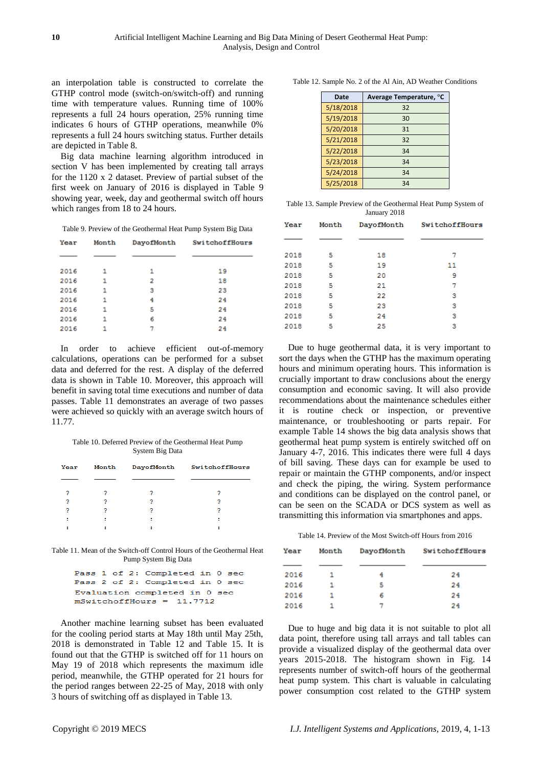an interpolation table is constructed to correlate the GTHP control mode (switch-on/switch-off) and running time with temperature values. Running time of 100% represents a full 24 hours operation, 25% running time indicates 6 hours of GTHP operations, meanwhile 0% represents a full 24 hours switching status. Further details are depicted in Table 8.

Big data machine learning algorithm introduced in section V has been implemented by creating tall arrays for the 1120 x 2 dataset. Preview of partial subset of the first week on January of 2016 is displayed in Table 9 showing year, week, day and geothermal switch off hours which ranges from 18 to 24 hours.

Table 9. Preview of the Geothermal Heat Pump System Big Data

| Year | Month | DayofMonth | <b>SwitchoffHours</b> |
|------|-------|------------|-----------------------|
|      |       |            |                       |
| 2016 | 1     | 1          | 19                    |
| 2016 | 1     | 2          | 18                    |
| 2016 | 1     | з          | 23                    |
| 2016 | 1     | 4          | 24                    |
| 2016 | 1     | 5          | 24                    |
| 2016 | 1     | 6          | 24                    |
| 2016 | 1     | 7          | 24                    |

In order to achieve efficient out-of-memory calculations, operations can be performed for a subset data and deferred for the rest. A display of the deferred data is shown in Table 10. Moreover, this approach will benefit in saving total time executions and number of data passes. Table 11 demonstrates an average of two passes were achieved so quickly with an average switch hours of 11.77.

Table 10. Deferred Preview of the Geothermal Heat Pump System Big Data

| Year | Month | DayofMonth | SwitchoffHours |
|------|-------|------------|----------------|
|      |       |            |                |
| 2    | 2     | 2          | 2              |
| ۰    |       |            |                |
|      |       | ν          | 2              |
| я    | и     | г          | ٥              |
|      |       |            |                |
|      |       |            |                |

Table 11. Mean of the Switch-off Control Hours of the Geothermal Heat Pump System Big Data

|                             |  |  |  | Pass 1 of 2: Completed in 0 sec |  |  |
|-----------------------------|--|--|--|---------------------------------|--|--|
|                             |  |  |  | Pass 2 of 2: Completed in 0 sec |  |  |
|                             |  |  |  | Evaluation completed in 0 sec   |  |  |
| $mSwitchoffhours = 11.7712$ |  |  |  |                                 |  |  |

Another machine learning subset has been evaluated for the cooling period starts at May 18th until May 25th, 2018 is demonstrated in Table 12 and Table 15. It is found out that the GTHP is switched off for 11 hours on May 19 of 2018 which represents the maximum idle period, meanwhile, the GTHP operated for 21 hours for the period ranges between 22-25 of May, 2018 with only 3 hours of switching off as displayed in Table 13.

| Table 12. Sample No. 2 of the Al Ain, AD Weather Conditions |  |  |  |  |
|-------------------------------------------------------------|--|--|--|--|
|-------------------------------------------------------------|--|--|--|--|

| Date      | Average Temperature, C |
|-----------|------------------------|
| 5/18/2018 | 32                     |
| 5/19/2018 | 30                     |
| 5/20/2018 | 31                     |
| 5/21/2018 | 32                     |
| 5/22/2018 | 34                     |
| 5/23/2018 | 34                     |
| 5/24/2018 | 34                     |
| 5/25/2018 | 34                     |

| Table 13. Sample Preview of the Geothermal Heat Pump System of |              |  |  |
|----------------------------------------------------------------|--------------|--|--|
|                                                                | January 2018 |  |  |

| Month | DayofMonth | <b>SwitchoffHours</b> |
|-------|------------|-----------------------|
|       |            |                       |
| 5     | 18         | 7                     |
| 5     | 19         | 11                    |
| 5     | 20         | 9                     |
| 5     | 21         | 7                     |
| 5     | 22         | з                     |
| 5     | 23         | з                     |
| 5     | 24         | з                     |
| 5     | 25         | з                     |
|       |            |                       |

Due to huge geothermal data, it is very important to sort the days when the GTHP has the maximum operating hours and minimum operating hours. This information is crucially important to draw conclusions about the energy consumption and economic saving. It will also provide recommendations about the maintenance schedules either it is routine check or inspection, or preventive maintenance, or troubleshooting or parts repair. For example Table 14 shows the big data analysis shows that geothermal heat pump system is entirely switched off on January 4-7, 2016. This indicates there were full 4 days of bill saving. These days can for example be used to repair or maintain the GTHP components, and/or inspect and check the piping, the wiring. System performance and conditions can be displayed on the control panel, or can be seen on the SCADA or DCS system as well as transmitting this information via smartphones and apps.

Table 14. Preview of the Most Switch-off Hours from 2016

| Year | Month | DayofMonth | <b>SwitchoffHours</b> |
|------|-------|------------|-----------------------|
| 2016 | 1.    |            | 24                    |
| 2016 |       | 5          | 24                    |
| 2016 | 1     | 6          | 24                    |
| 2016 |       | 7          | 24                    |

Due to huge and big data it is not suitable to plot all data point, therefore using tall arrays and tall tables can provide a visualized display of the geothermal data over years 2015-2018. The histogram shown in Fig. 14 represents number of switch-off hours of the geothermal heat pump system. This chart is valuable in calculating power consumption cost related to the GTHP system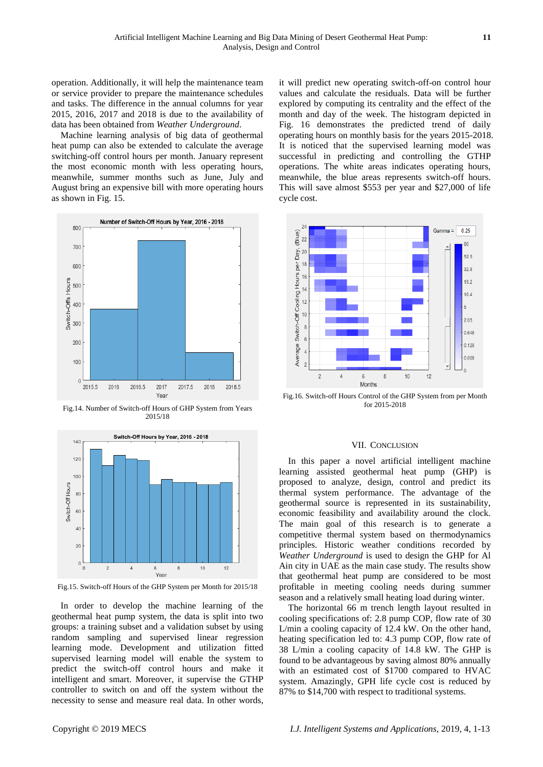operation. Additionally, it will help the maintenance team or service provider to prepare the maintenance schedules and tasks. The difference in the annual columns for year 2015, 2016, 2017 and 2018 is due to the availability of data has been obtained from *Weather Underground*.

Machine learning analysis of big data of geothermal heat pump can also be extended to calculate the average switching-off control hours per month. January represent the most economic month with less operating hours, meanwhile, summer months such as June, July and August bring an expensive bill with more operating hours as shown in Fig. 15.



Fig.14. Number of Switch-off Hours of GHP System from Years 2015/18



Fig.15. Switch-off Hours of the GHP System per Month for 2015/18

In order to develop the machine learning of the geothermal heat pump system, the data is split into two groups: a training subset and a validation subset by using random sampling and supervised linear regression learning mode. Development and utilization fitted supervised learning model will enable the system to predict the switch-off control hours and make it intelligent and smart. Moreover, it supervise the GTHP controller to switch on and off the system without the necessity to sense and measure real data. In other words, it will predict new operating switch-off-on control hour values and calculate the residuals. Data will be further explored by computing its centrality and the effect of the month and day of the week. The histogram depicted in Fig. 16 demonstrates the predicted trend of daily operating hours on monthly basis for the years 2015-2018. It is noticed that the supervised learning model was successful in predicting and controlling the GTHP operations. The white areas indicates operating hours, meanwhile, the blue areas represents switch-off hours. This will save almost \$553 per year and \$27,000 of life cycle cost.



Fig.16. Switch-off Hours Control of the GHP System from per Month for 2015-2018

#### VII. CONCLUSION

In this paper a novel artificial intelligent machine learning assisted geothermal heat pump (GHP) is proposed to analyze, design, control and predict its thermal system performance. The advantage of the geothermal source is represented in its sustainability, economic feasibility and availability around the clock. The main goal of this research is to generate a competitive thermal system based on thermodynamics principles. Historic weather conditions recorded by *Weather Underground* is used to design the GHP for Al Ain city in UAE as the main case study. The results show that geothermal heat pump are considered to be most profitable in meeting cooling needs during summer season and a relatively small heating load during winter.

The horizontal 66 m trench length layout resulted in cooling specifications of: 2.8 pump COP, flow rate of 30 L/min a cooling capacity of 12.4 kW. On the other hand, heating specification led to: 4.3 pump COP, flow rate of 38 L/min a cooling capacity of 14.8 kW. The GHP is found to be advantageous by saving almost 80% annually with an estimated cost of \$1700 compared to HVAC system. Amazingly, GPH life cycle cost is reduced by 87% to \$14,700 with respect to traditional systems.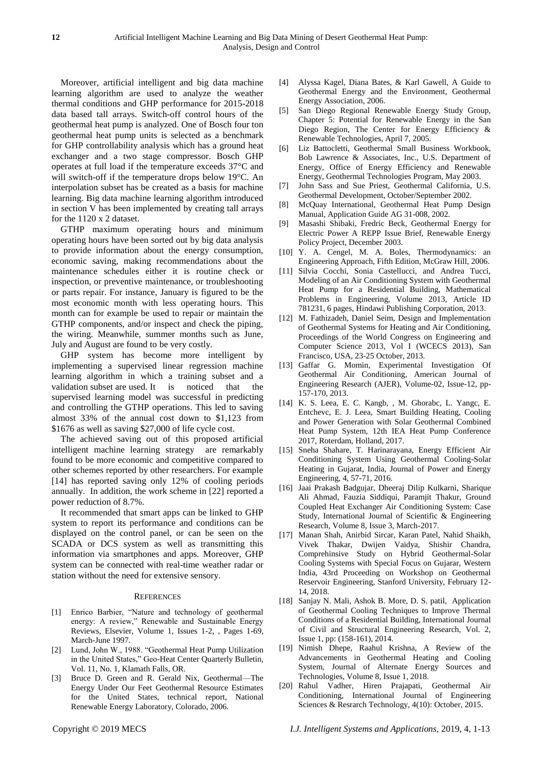Moreover, artificial intelligent and big data machine learning algorithm are used to analyze the weather thermal conditions and GHP performance for 2015-2018 data based tall arrays. Switch-off control hours of the geothermal heat pump is analyzed. One of Bosch four ton geothermal heat pump units is selected as a benchmark for GHP controllability analysis which has a ground heat exchanger and a two stage compressor. Bosch GHP operates at full load if the temperature exceeds  $37 \, \text{°C}$  and will switch-off if the temperature drops below 19  $\mathbb{C}$ . An interpolation subset has be created as a basis for machine learning. Big data machine learning algorithm introduced in section V has been implemented by creating tall arrays for the 1120 x 2 dataset.

GTHP maximum operating hours and minimum operating hours have been sorted out by big data analysis to provide information about the energy consumption, economic saving, making recommendations about the maintenance schedules either it is routine check or inspection, or preventive maintenance, or troubleshooting or parts repair. For instance, January is figured to be the most economic month with less operating hours. This month can for example be used to repair or maintain the GTHP components, and/or inspect and check the piping, the wiring. Meanwhile, summer months such as June, July and August are found to be very costly.

GHP system has become more intelligent by implementing a supervised linear regression machine learning algorithm in which a training subset and a validation subset are used. It is noticed that the supervised learning model was successful in predicting and controlling the GTHP operations. This led to saving almost 33% of the annual cost down to \$1,123 from \$1676 as well as saving \$27,000 of life cycle cost.

The achieved saving out of this proposed artificial intelligent machine learning strategy are remarkably found to be more economic and competitive compared to other schemes reported by other researchers. For example [14] has reported saving only 12% of cooling periods annually. In addition, the work scheme in [22] reported a power reduction of 8.7%.

It recommended that smart apps can be linked to GHP system to report its performance and conditions can be displayed on the control panel, or can be seen on the SCADA or DCS system as well as transmitting this information via smartphones and apps. Moreover, GHP system can be connected with real-time weather radar or station without the need for extensive sensory.

#### **REFERENCES**

- [1] Enrico Barbier, "Nature and technology of geothermal energy: A review," Renewable and Sustainable Energy Reviews, Elsevier, Volume 1, Issues 1-2, , Pages 1-69, March-June 1997.
- [2] Lund, John W., 1988. "Geothermal Heat Pump Utilization in the United States," Geo-Heat Center Quarterly Bulletin, Vol. 11, No. 1, Klamath Falls, OR.
- [3] Bruce D. Green and R. Gerald Nix, Geothermal—The Energy Under Our Feet Geothermal Resource Estimates for the United States, technical report, National Renewable Energy Laboratory, Colorado, 2006.
- [5] San Diego Regional Renewable Energy Study Group, Chapter 5: Potential for Renewable Energy in the San Diego Region, The Center for Energy Efficiency & Renewable Technologies, April 7, 2005.
- [6] Liz Battocletti, Geothermal Small Business Workbook, Bob Lawrence & Associates, Inc., U.S. Department of Energy, Office of Energy Efficiency and Renewable Energy, Geothermal Technologies Program, May 2003.
- [7] John Sass and Sue Priest, Geothermal California, U.S. Geothermal Development, October/September 2002.
- [8] McQuay International, Geothermal Heat Pump Design Manual, Application Guide AG 31-008, 2002.
- [9] Masashi Shibaki, Fredric Beck, Geothermal Energy for Electric Power A REPP Issue Brief, Renewable Energy Policy Project, December 2003.
- [10] Y. A. Cengel, M. A. Boles, Thermodynamics: an Engineering Approach, Fifth Edition, McGraw Hill, 2006.
- [11] Silvia Cocchi, Sonia Castellucci, and Andrea Tucci, Modeling of an Air Conditioning System with Geothermal Heat Pump for a Residential Building, Mathematical Problems in Engineering, Volume 2013, Article ID 781231, 6 pages, Hindawi Publishing Corporation, 2013.
- [12] M. Fathizadeh, Daniel Seim, Design and Implementation of Geothermal Systems for Heating and Air Conditioning, Proceedings of the World Congress on Engineering and Computer Science 2013, Vol I (WCECS 2013), San Francisco, USA, 23-25 October, 2013.
- [13] Gaffar G. Momin, Experimental Investigation Of Geothermal Air Conditioning, American Journal of Engineering Research (AJER), Volume-02, Issue-12, pp-157-170, 2013.
- [14] K. S. Leea, E. C. Kangb, , M. Ghorabc, L. Yangc, E. Entchevc, E. J. Leea, Smart Building Heating, Cooling and Power Generation with Solar Geothermal Combined Heat Pump System, 12th IEA Heat Pump Conference 2017, Roterdam, Holland, 2017.
- [15] Sneha Shahare, T. Harinarayana, Energy Efficient Air Conditioning System Using Geothermal Cooling-Solar Heating in Gujarat, India, Journal of Power and Energy Engineering, 4, 57-71, 2016.
- [16] Jaai Prakash Badgujar, Dheeraj Dilip Kulkarni, Sharique Ali Ahmad, Fauzia Siddiqui, Paramjit Thakur, Ground Coupled Heat Exchanger Air Conditioning System: Case Study, International Journal of Scientific & Engineering Research, Volume 8, Issue 3, March-2017.
- [17] Manan Shah, Anirbid Sircar, Karan Patel, Nahid Shaikh, Vivek Thakar, Dwijen Vaidya, Shishir Chandra, Comprehinsive Study on Hybrid Geothermal-Solar Cooling Systems with Special Focus on Gujarar, Western India, 43rd Proceeding on Workshop on Geothermal Reservoir Engineering, Stanford University, February 12- 14, 2018.
- [18] Sanjay N. Mali, Ashok B. More, D. S. patil, Application of Geothermal Cooling Techniques to Improve Thermal Conditions of a Residential Building, International Journal of Civil and Structural Engineering Research, Vol. 2, Issue 1, pp: (158-161), 2014.
- [19] Nimish Dhepe, Raahul Krishna, A Review of the Advancements in Geothermal Heating and Cooling System, Journal of Alternate Energy Sources and Technologies, Volume 8, Issue 1, 2018.
- [20] Rahul Vadher, Hiren Prajapati, Geothermal Air Conditioning, International Journal of Engineering Sciences & Resrarch Technology, 4(10): October, 2015.